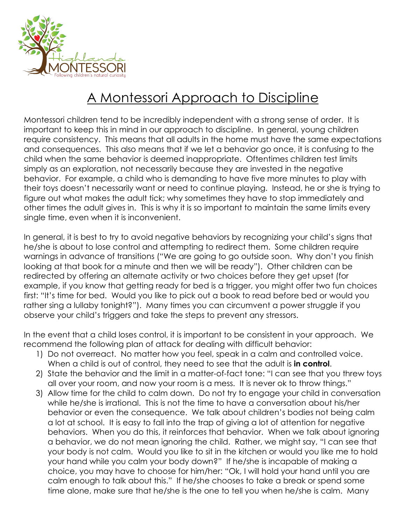

## A Montessori Approach to Discipline

Montessori children tend to be incredibly independent with a strong sense of order. It is important to keep this in mind in our approach to discipline. In general, young children require consistency. This means that all adults in the home must have the same expectations and consequences. This also means that if we let a behavior go once, it is confusing to the child when the same behavior is deemed inappropriate. Oftentimes children test limits simply as an exploration, not necessarily because they are invested in the negative behavior. For example, a child who is demanding to have five more minutes to play with their toys doesn't necessarily want or need to continue playing. Instead, he or she is trying to figure out what makes the adult tick; why sometimes they have to stop immediately and other times the adult gives in. This is why it is so important to maintain the same limits every single time, even when it is inconvenient.

In general, it is best to try to avoid negative behaviors by recognizing your child's signs that he/she is about to lose control and attempting to redirect them. Some children require warnings in advance of transitions ("We are going to go outside soon. Why don't you finish looking at that book for a minute and then we will be ready"). Other children can be redirected by offering an alternate activity or two choices before they get upset (for example, if you know that getting ready for bed is a trigger, you might offer two fun choices first: "It's time for bed. Would you like to pick out a book to read before bed or would you rather sing a lullaby tonight?"). Many times you can circumvent a power struggle if you observe your child's triggers and take the steps to prevent any stressors.

In the event that a child loses control, it is important to be consistent in your approach. We recommend the following plan of attack for dealing with difficult behavior:

- 1) Do not overreact. No matter how you feel, speak in a calm and controlled voice. When a child is out of control, they need to see that the adult is **in control**.
- 2) State the behavior and the limit in a matter-of-fact tone: "I can see that you threw toys all over your room, and now your room is a mess. It is never ok to throw things."
- 3) Allow time for the child to calm down. Do not try to engage your child in conversation while he/she is irrational. This is not the time to have a conversation about his/her behavior or even the consequence. We talk about children's bodies not being calm a lot at school. It is easy to fall into the trap of giving a lot of attention for negative behaviors. When you do this, it reinforces that behavior. When we talk about ignoring a behavior, we do not mean ignoring the child. Rather, we might say, "I can see that your body is not calm. Would you like to sit in the kitchen or would you like me to hold your hand while you calm your body down?" If he/she is incapable of making a choice, you may have to choose for him/her: "Ok, I will hold your hand until you are calm enough to talk about this." If he/she chooses to take a break or spend some time alone, make sure that he/she is the one to tell you when he/she is calm. Many